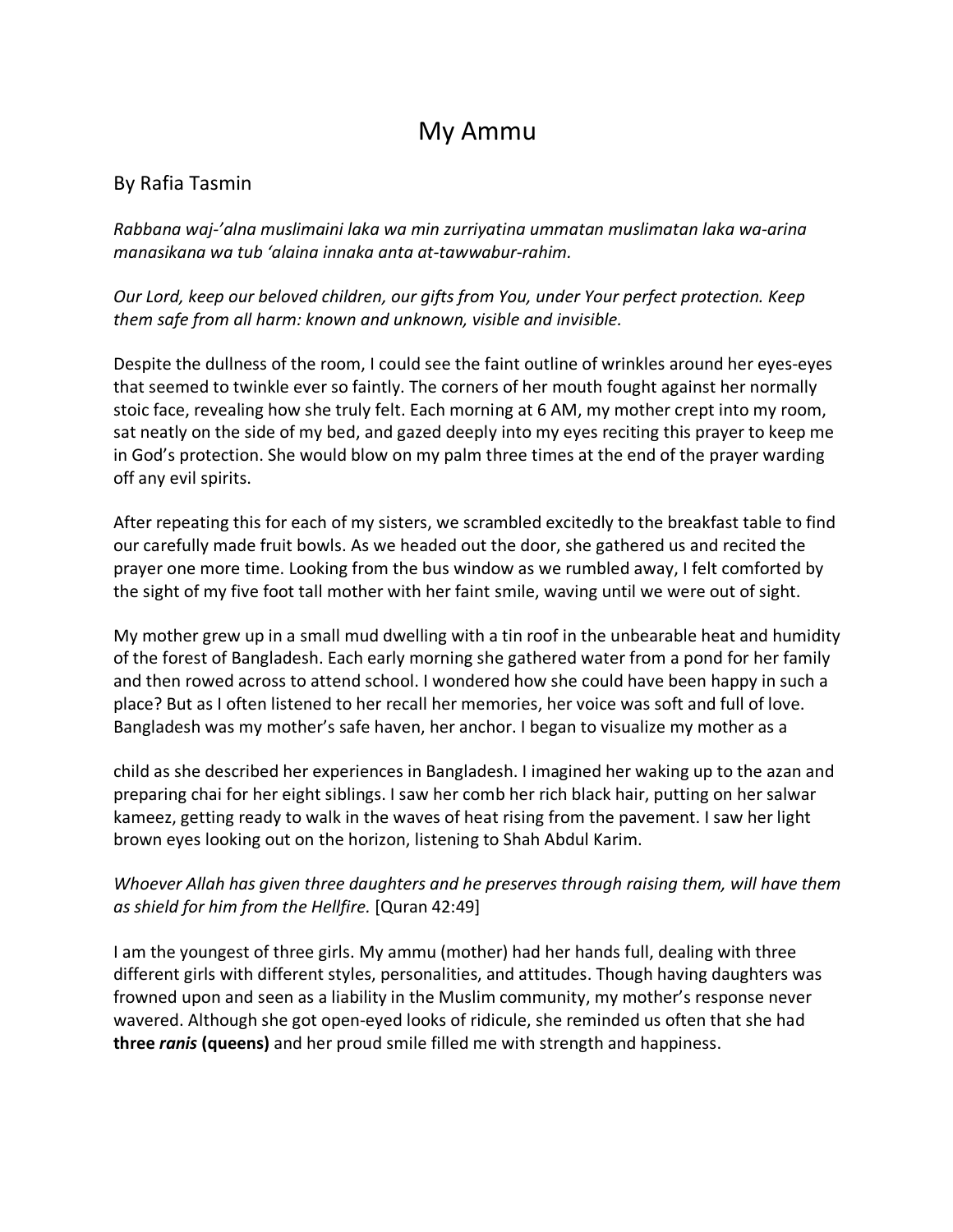## My Ammu

## By Rafia Tasmin

*Rabbana waj-'alna muslimaini laka wa min zurriyatina ummatan muslimatan laka wa-arina manasikana wa tub 'alaina innaka anta at-tawwabur-rahim.* 

*Our Lord, keep our beloved children, our gifts from You, under Your perfect protection. Keep them safe from all harm: known and unknown, visible and invisible.* 

Despite the dullness of the room, I could see the faint outline of wrinkles around her eyes-eyes that seemed to twinkle ever so faintly. The corners of her mouth fought against her normally stoic face, revealing how she truly felt. Each morning at 6 AM, my mother crept into my room, sat neatly on the side of my bed, and gazed deeply into my eyes reciting this prayer to keep me in God's protection. She would blow on my palm three times at the end of the prayer warding off any evil spirits.

After repeating this for each of my sisters, we scrambled excitedly to the breakfast table to find our carefully made fruit bowls. As we headed out the door, she gathered us and recited the prayer one more time. Looking from the bus window as we rumbled away, I felt comforted by the sight of my five foot tall mother with her faint smile, waving until we were out of sight.

My mother grew up in a small mud dwelling with a tin roof in the unbearable heat and humidity of the forest of Bangladesh. Each early morning she gathered water from a pond for her family and then rowed across to attend school. I wondered how she could have been happy in such a place? But as I often listened to her recall her memories, her voice was soft and full of love. Bangladesh was my mother's safe haven, her anchor. I began to visualize my mother as a

child as she described her experiences in Bangladesh. I imagined her waking up to the azan and preparing chai for her eight siblings. I saw her comb her rich black hair, putting on her salwar kameez, getting ready to walk in the waves of heat rising from the pavement. I saw her light brown eyes looking out on the horizon, listening to Shah Abdul Karim.

## *Whoever Allah has given three daughters and he preserves through raising them, will have them as shield for him from the Hellfire.* [Quran 42:49]

I am the youngest of three girls. My ammu (mother) had her hands full, dealing with three different girls with different styles, personalities, and attitudes. Though having daughters was frowned upon and seen as a liability in the Muslim community, my mother's response never wavered. Although she got open-eyed looks of ridicule, she reminded us often that she had **three** *ranis* **(queens)** and her proud smile filled me with strength and happiness.